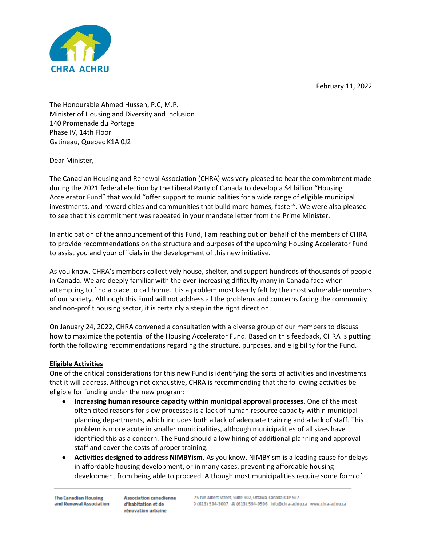February 11, 2022



The Honourable Ahmed Hussen, P.C, M.P. Minister of Housing and Diversity and Inclusion 140 Promenade du Portage Phase IV, 14th Floor Gatineau, Quebec K1A 0J2

Dear Minister,

The Canadian Housing and Renewal Association (CHRA) was very pleased to hear the commitment made during the 2021 federal election by the Liberal Party of Canada to develop a \$4 billion "Housing Accelerator Fund" that would "offer support to municipalities for a wide range of eligible municipal investments, and reward cities and communities that build more homes, faster". We were also pleased to see that this commitment was repeated in your mandate letter from the Prime Minister.

In anticipation of the announcement of this Fund, I am reaching out on behalf of the members of CHRA to provide recommendations on the structure and purposes of the upcoming Housing Accelerator Fund to assist you and your officials in the development of this new initiative.

As you know, CHRA's members collectively house, shelter, and support hundreds of thousands of people in Canada. We are deeply familiar with the ever-increasing difficulty many in Canada face when attempting to find a place to call home. It is a problem most keenly felt by the most vulnerable members of our society. Although this Fund will not address all the problems and concerns facing the community and non-profit housing sector, it is certainly a step in the right direction.

On January 24, 2022, CHRA convened a consultation with a diverse group of our members to discuss how to maximize the potential of the Housing Accelerator Fund. Based on this feedback, CHRA is putting forth the following recommendations regarding the structure, purposes, and eligibility for the Fund.

# **Eligible Activities**

One of the critical considerations for this new Fund is identifying the sorts of activities and investments that it will address. Although not exhaustive, CHRA is recommending that the following activities be eligible for funding under the new program:

- **Increasing human resource capacity within municipal approval processes**. One of the most often cited reasons for slow processes is a lack of human resource capacity within municipal planning departments, which includes both a lack of adequate training and a lack of staff. This problem is more acute in smaller municipalities, although municipalities of all sizes have identified this as a concern. The Fund should allow hiring of additional planning and approval staff and cover the costs of proper training.
- **Activities designed to address NIMBYism.** As you know, NIMBYism is a leading cause for delays in affordable housing development, or in many cases, preventing affordable housing development from being able to proceed. Although most municipalities require some form of

**The Canadian Housing** and Renewal Association

**Association canadienne** d'habitation et de rénovation urbaine

75 rue Albert Street, Sulte 902, Ottawa, Canada K1P 5E7 3 (613) 594-3007 黒 (613) 594-9596 Info@chra-achru.ca www.chra-achru.ca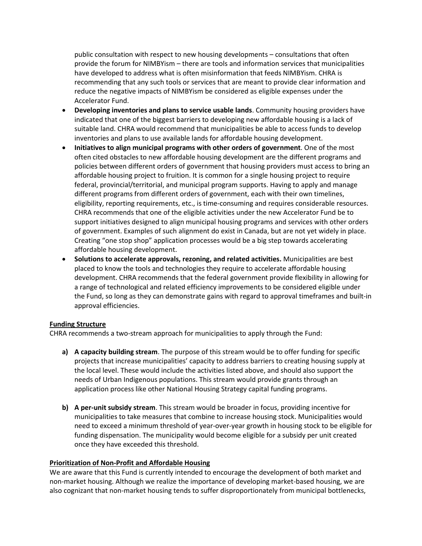public consultation with respect to new housing developments – consultations that often provide the forum for NIMBYism – there are tools and information services that municipalities have developed to address what is often misinformation that feeds NIMBYism. CHRA is recommending that any such tools or services that are meant to provide clear information and reduce the negative impacts of NIMBYism be considered as eligible expenses under the Accelerator Fund.

- **Developing inventories and plans to service usable lands**. Community housing providers have indicated that one of the biggest barriers to developing new affordable housing is a lack of suitable land. CHRA would recommend that municipalities be able to access funds to develop inventories and plans to use available lands for affordable housing development.
- **Initiatives to align municipal programs with other orders of government**. One of the most often cited obstacles to new affordable housing development are the different programs and policies between different orders of government that housing providers must access to bring an affordable housing project to fruition. It is common for a single housing project to require federal, provincial/territorial, and municipal program supports. Having to apply and manage different programs from different orders of government, each with their own timelines, eligibility, reporting requirements, etc., is time-consuming and requires considerable resources. CHRA recommends that one of the eligible activities under the new Accelerator Fund be to support initiatives designed to align municipal housing programs and services with other orders of government. Examples of such alignment do exist in Canada, but are not yet widely in place. Creating "one stop shop" application processes would be a big step towards accelerating affordable housing development.
- **Solutions to accelerate approvals, rezoning, and related activities.** Municipalities are best placed to know the tools and technologies they require to accelerate affordable housing development. CHRA recommends that the federal government provide flexibility in allowing for a range of technological and related efficiency improvements to be considered eligible under the Fund, so long as they can demonstrate gains with regard to approval timeframes and built-in approval efficiencies.

## **Funding Structure**

CHRA recommends a two-stream approach for municipalities to apply through the Fund:

- **a) A capacity building stream**. The purpose of this stream would be to offer funding for specific projects that increase municipalities' capacity to address barriers to creating housing supply at the local level. These would include the activities listed above, and should also support the needs of Urban Indigenous populations. This stream would provide grants through an application process like other National Housing Strategy capital funding programs.
- **b) A per-unit subsidy stream**. This stream would be broader in focus, providing incentive for municipalities to take measures that combine to increase housing stock. Municipalities would need to exceed a minimum threshold of year-over-year growth in housing stock to be eligible for funding dispensation. The municipality would become eligible for a subsidy per unit created once they have exceeded this threshold.

## **Prioritization of Non-Profit and Affordable Housing**

We are aware that this Fund is currently intended to encourage the development of both market and non-market housing. Although we realize the importance of developing market-based housing, we are also cognizant that non-market housing tends to suffer disproportionately from municipal bottlenecks,